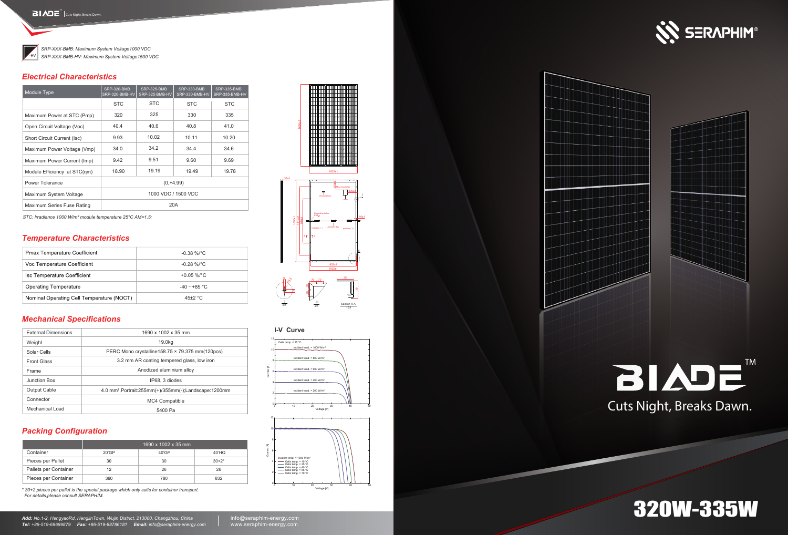### *Mechanical Specifications*

Nominal Operating Cell Temperature (NOCT)

#### *Electrical Characteristics*

*Temperature Characteristics*

**Pmax Temperature Coefficient** Voc Temperature Coefficient **Isc Temperature Coefficient Operating Temperature** 

### *Packing Configuration*

| <b>External Dimensions</b> | 1690 x 1002 x 35 mm                                                    |  |  |  |
|----------------------------|------------------------------------------------------------------------|--|--|--|
| Weight                     | 19.0kg                                                                 |  |  |  |
| Solar Cells                | PERC Mono crystalline158.75 × 79.375 mm(120pcs)                        |  |  |  |
| <b>Front Glass</b>         | 3.2 mm AR coating tempered glass, low iron                             |  |  |  |
| Frame                      | Anodized aluminium alloy                                               |  |  |  |
| Junction Box               | IP68, 3 diodes                                                         |  |  |  |
| <b>Output Cable</b>        | 4.0 mm <sup>2</sup> , Portrait: 255mm (+)/355mm (-); Landscape: 1200mm |  |  |  |
| Connector                  | MC4 Compatible                                                         |  |  |  |
| Mechanical Load            | 5400 Pa                                                                |  |  |  |

-0.38 %/°C -0.28 %/°C +0.05 %/°C -40 $\sim$ +85 °C 45±2 °C

#### **I-V Curve**







# 320W-335W

*STC: lrradiance 1000 W/m² module temperature 25°C AM=1.5;*

#### Section A-A I 5:1 II  $2:1$   $\frac{30000011}{10:1}$ 95

|                       | 1690 x 1002 x 35 mm |       |         |  |  |
|-----------------------|---------------------|-------|---------|--|--|
| Container             | 20'GP               | 40'GP | 40'HQ   |  |  |
| Pieces per Pallet     | 30                  | 30    | $30+2*$ |  |  |
| Pallets per Container |                     | 26    | 26      |  |  |
| Pieces per Container  | 360                 | 780   | 832     |  |  |

| Module Type                  | <b>SRP-320-BMB</b><br>SRP-320-BMB-HV | <b>SRP-325-BMB</b><br>SRP-325-BMB-HV | <b>SRP-330-BMB</b><br>SRP-330-BMB-HV | SRP-335-BMB<br>SRP-335-BMB-HV |  |
|------------------------------|--------------------------------------|--------------------------------------|--------------------------------------|-------------------------------|--|
|                              | <b>STC</b>                           | <b>STC</b>                           | <b>STC</b>                           | <b>STC</b>                    |  |
| Maximum Power at STC (Pmp)   | 320                                  | 325                                  | 330                                  | 335                           |  |
| Open Circuit Voltage (Voc)   | 40.4                                 | 40.6                                 | 40.8                                 | 41.0                          |  |
| Short Circuit Current (Isc)  | 9.93                                 | 10.02                                | 10.11                                | 10.20                         |  |
| Maximum Power Voltage (Vmp)  | 34.0                                 | 34.2                                 | 34.4                                 | 34.6                          |  |
| Maximum Power Current (Imp)  | 9.42                                 | 9.51                                 | 9.60                                 | 9.69                          |  |
| Module Efficiency at STC(nm) | 18.90                                | 19.19                                | 19.49                                | 19.78                         |  |
| Power Tolerance              | $(0, +4.99)$                         |                                      |                                      |                               |  |
| Maximum System Voltage       | 1000 VDC / 1500 VDC                  |                                      |                                      |                               |  |
| Maximum Series Fuse Rating   | 20A                                  |                                      |                                      |                               |  |



*SRP-XXX-BMB: Maximum System Voltage1000 VDC SRP-XXX-BMB-HV: Maximum System Voltage1500 VDC*







1002±1

1690±1

*\* 30+2 pieces per pallet is the special package which only suits for container transport. For details,please consult SERAPHIM.*